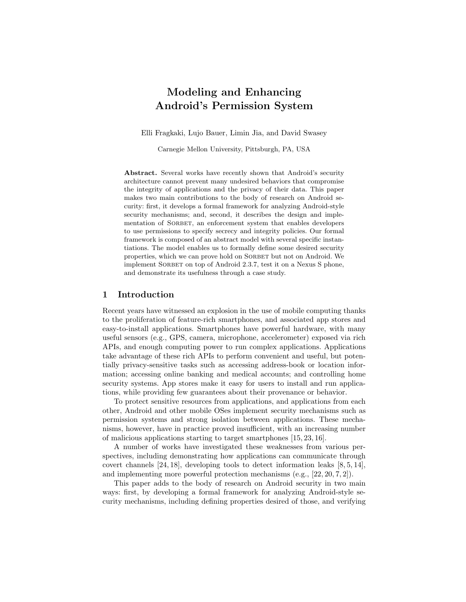# Modeling and Enhancing Android's Permission System

Elli Fragkaki, Lujo Bauer, Limin Jia, and David Swasey

Carnegie Mellon University, Pittsburgh, PA, USA

Abstract. Several works have recently shown that Android's security architecture cannot prevent many undesired behaviors that compromise the integrity of applications and the privacy of their data. This paper makes two main contributions to the body of research on Android security: first, it develops a formal framework for analyzing Android-style security mechanisms; and, second, it describes the design and implementation of SORBET, an enforcement system that enables developers to use permissions to specify secrecy and integrity policies. Our formal framework is composed of an abstract model with several specific instantiations. The model enables us to formally define some desired security properties, which we can prove hold on SORBET but not on Android. We implement SORBET on top of Android 2.3.7, test it on a Nexus S phone, and demonstrate its usefulness through a case study.

### 1 Introduction

Recent years have witnessed an explosion in the use of mobile computing thanks to the proliferation of feature-rich smartphones, and associated app stores and easy-to-install applications. Smartphones have powerful hardware, with many useful sensors (e.g., GPS, camera, microphone, accelerometer) exposed via rich APIs, and enough computing power to run complex applications. Applications take advantage of these rich APIs to perform convenient and useful, but potentially privacy-sensitive tasks such as accessing address-book or location information; accessing online banking and medical accounts; and controlling home security systems. App stores make it easy for users to install and run applications, while providing few guarantees about their provenance or behavior.

To protect sensitive resources from applications, and applications from each other, Android and other mobile OSes implement security mechanisms such as permission systems and strong isolation between applications. These mechanisms, however, have in practice proved insufficient, with an increasing number of malicious applications starting to target smartphones [15, 23, 16].

A number of works have investigated these weaknesses from various perspectives, including demonstrating how applications can communicate through covert channels [24, 18], developing tools to detect information leaks [8, 5, 14], and implementing more powerful protection mechanisms (e.g., [22, 20, 7, 2]).

This paper adds to the body of research on Android security in two main ways: first, by developing a formal framework for analyzing Android-style security mechanisms, including defining properties desired of those, and verifying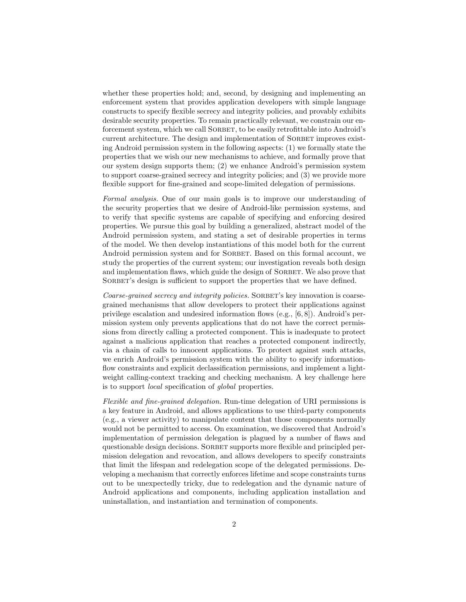whether these properties hold; and, second, by designing and implementing an enforcement system that provides application developers with simple language constructs to specify flexible secrecy and integrity policies, and provably exhibits desirable security properties. To remain practically relevant, we constrain our enforcement system, which we call SORBET, to be easily retrofittable into Android's current architecture. The design and implementation of SORBET improves existing Android permission system in the following aspects: (1) we formally state the properties that we wish our new mechanisms to achieve, and formally prove that our system design supports them; (2) we enhance Android's permission system to support coarse-grained secrecy and integrity policies; and (3) we provide more flexible support for fine-grained and scope-limited delegation of permissions.

Formal analysis. One of our main goals is to improve our understanding of the security properties that we desire of Android-like permission systems, and to verify that specific systems are capable of specifying and enforcing desired properties. We pursue this goal by building a generalized, abstract model of the Android permission system, and stating a set of desirable properties in terms of the model. We then develop instantiations of this model both for the current Android permission system and for SORBET. Based on this formal account, we study the properties of the current system; our investigation reveals both design and implementation flaws, which guide the design of SORBET. We also prove that SORBET's design is sufficient to support the properties that we have defined.

Coarse-grained secrecy and integrity policies. SORBET's key innovation is coarsegrained mechanisms that allow developers to protect their applications against privilege escalation and undesired information flows (e.g., [6, 8]). Android's permission system only prevents applications that do not have the correct permissions from directly calling a protected component. This is inadequate to protect against a malicious application that reaches a protected component indirectly, via a chain of calls to innocent applications. To protect against such attacks, we enrich Android's permission system with the ability to specify informationflow constraints and explicit declassification permissions, and implement a lightweight calling-context tracking and checking mechanism. A key challenge here is to support local specification of global properties.

Flexible and fine-grained delegation. Run-time delegation of URI permissions is a key feature in Android, and allows applications to use third-party components (e.g., a viewer activity) to manipulate content that those components normally would not be permitted to access. On examination, we discovered that Android's implementation of permission delegation is plagued by a number of flaws and questionable design decisions. SORBET supports more flexible and principled permission delegation and revocation, and allows developers to specify constraints that limit the lifespan and redelegation scope of the delegated permissions. Developing a mechanism that correctly enforces lifetime and scope constraints turns out to be unexpectedly tricky, due to redelegation and the dynamic nature of Android applications and components, including application installation and uninstallation, and instantiation and termination of components.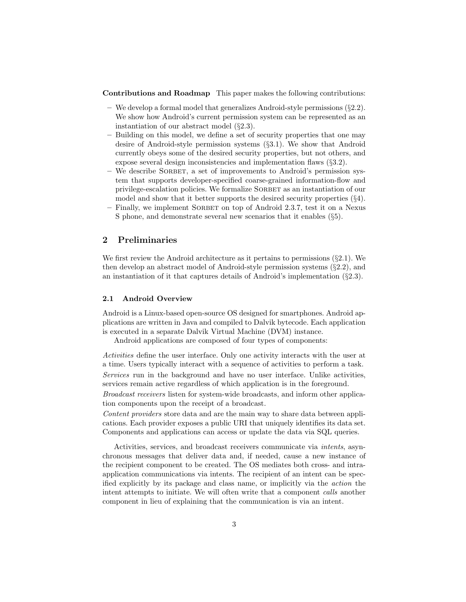Contributions and Roadmap This paper makes the following contributions:

- We develop a formal model that generalizes Android-style permissions  $(\S2.2)$ . We show how Android's current permission system can be represented as an instantiation of our abstract model (§2.3).
- Building on this model, we define a set of security properties that one may desire of Android-style permission systems (§3.1). We show that Android currently obeys some of the desired security properties, but not others, and expose several design inconsistencies and implementation flaws (§3.2).
- We describe Sorbet, a set of improvements to Android's permission system that supports developer-specified coarse-grained information-flow and privilege-escalation policies. We formalize SORBET as an instantiation of our model and show that it better supports the desired security properties (§4).
- Finally, we implement SORBET on top of Android 2.3.7, test it on a Nexus S phone, and demonstrate several new scenarios that it enables (§5).

## 2 Preliminaries

We first review the Android architecture as it pertains to permissions  $(\S 2.1)$ . We then develop an abstract model of Android-style permission systems (§2.2), and an instantiation of it that captures details of Android's implementation (§2.3).

### 2.1 Android Overview

Android is a Linux-based open-source OS designed for smartphones. Android applications are written in Java and compiled to Dalvik bytecode. Each application is executed in a separate Dalvik Virtual Machine (DVM) instance.

Android applications are composed of four types of components:

Activities define the user interface. Only one activity interacts with the user at a time. Users typically interact with a sequence of activities to perform a task. Services run in the background and have no user interface. Unlike activities, services remain active regardless of which application is in the foreground.

Broadcast receivers listen for system-wide broadcasts, and inform other application components upon the receipt of a broadcast.

Content providers store data and are the main way to share data between applications. Each provider exposes a public URI that uniquely identifies its data set. Components and applications can access or update the data via SQL queries.

Activities, services, and broadcast receivers communicate via intents, asynchronous messages that deliver data and, if needed, cause a new instance of the recipient component to be created. The OS mediates both cross- and intraapplication communications via intents. The recipient of an intent can be specified explicitly by its package and class name, or implicitly via the action the intent attempts to initiate. We will often write that a component calls another component in lieu of explaining that the communication is via an intent.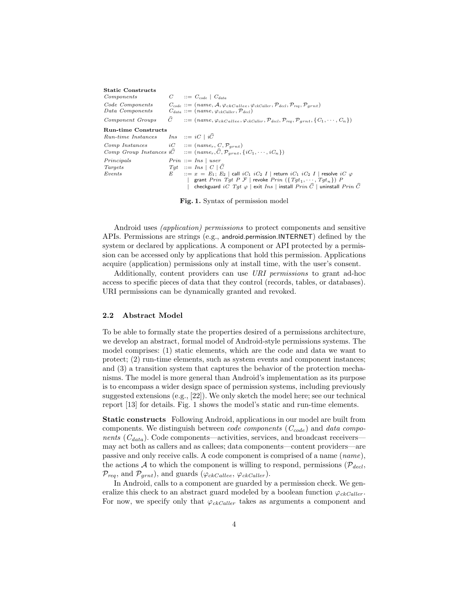| <b>Static Constructs</b>                        |             |                                                                                                                                                                                              |
|-------------------------------------------------|-------------|----------------------------------------------------------------------------------------------------------------------------------------------------------------------------------------------|
| Components                                      |             | $C$ $::= C_{code} \mid C_{data}$                                                                                                                                                             |
| Code Components<br>Data Components              |             | $C_{code} ::= (name, A, \varphi_{ckCallee}, \varphi_{ckCaller}, \mathcal{P}_{decl}, \mathcal{P}_{req}, \mathcal{P}_{grnt})$<br>$C_{data} ::= (name, \varphi_{ckCaller}, \mathcal{P}_{decl})$ |
| Component Groups                                |             | $C$ ::= (name, $\varphi_{ckCallee}, \varphi_{ckCaller}, \mathcal{P}_{del}, \mathcal{P}_{req}, \mathcal{P}_{grnt}, \{C_1, \cdots, C_n\})$                                                     |
| <b>Run-time Constructs</b>                      |             |                                                                                                                                                                                              |
| Run-time Instances Ins $::= iC \mid iC$         |             |                                                                                                                                                                                              |
| Comp Instances $iC$ ::= $(name_r, C, P_{arnt})$ |             | Comp Group Instances $i\hat{C}$ ::= $(name_r, \hat{C}, \mathcal{P}_{grnt}, \{iC_1, \dots, iC_n\})$                                                                                           |
| Principals                                      |             | $Prin ::= Ins \mid user$                                                                                                                                                                     |
| Targets                                         |             | $Tqt$ ::= $Ins \mid C \mid \widehat{C}$                                                                                                                                                      |
| Events                                          | $E$ and $E$ | $\therefore$ $x = E_1$ ; $E_2$   call $iC_1$ $iC_2$ <i>I</i>   return $iC_1$ $iC_2$ <i>I</i>   resolve $iC \varphi$                                                                          |
|                                                 |             | grant Prin Tgt P F   revoke Prin $({Tgt_1, \cdots, Tgt_n})$ P                                                                                                                                |
|                                                 |             | checkguard $iC$ $Tgt \varphi$   exit $Ins$   install $Prin \ \widehat{C}$   uninstall $Prin \ \widehat{C}$                                                                                   |

Fig. 1. Syntax of permission model

Android uses (application) permissions to protect components and sensitive APIs. Permissions are strings (e.g., android.permission.INTERNET) defined by the system or declared by applications. A component or API protected by a permission can be accessed only by applications that hold this permission. Applications acquire (application) permissions only at install time, with the user's consent.

Additionally, content providers can use URI permissions to grant ad-hoc access to specific pieces of data that they control (records, tables, or databases). URI permissions can be dynamically granted and revoked.

#### 2.2 Abstract Model

To be able to formally state the properties desired of a permissions architecture, we develop an abstract, formal model of Android-style permissions systems. The model comprises: (1) static elements, which are the code and data we want to protect; (2) run-time elements, such as system events and component instances; and (3) a transition system that captures the behavior of the protection mechanisms. The model is more general than Android's implementation as its purpose is to encompass a wider design space of permission systems, including previously suggested extensions (e.g., [22]). We only sketch the model here; see our technical report [13] for details. Fig. 1 shows the model's static and run-time elements.

Static constructs Following Android, applications in our model are built from components. We distinguish between *code components* ( $C_{code}$ ) and *data compo*nents  $(C_{data})$ . Code components—activities, services, and broadcast receivers may act both as callers and as callees; data components—content providers—are passive and only receive calls. A code component is comprised of a name (name), the actions A to which the component is willing to respond, permissions ( $\mathcal{P}_{decl}$ ,  $\mathcal{P}_{req}$ , and  $\mathcal{P}_{grnt}$ ), and guards ( $\varphi_{ckCallee}$ ,  $\varphi_{ckCaller}$ ).

In Android, calls to a component are guarded by a permission check. We generalize this check to an abstract guard modeled by a boolean function  $\varphi_{ckCaller}$ . For now, we specify only that  $\varphi_{ckCaller}$  takes as arguments a component and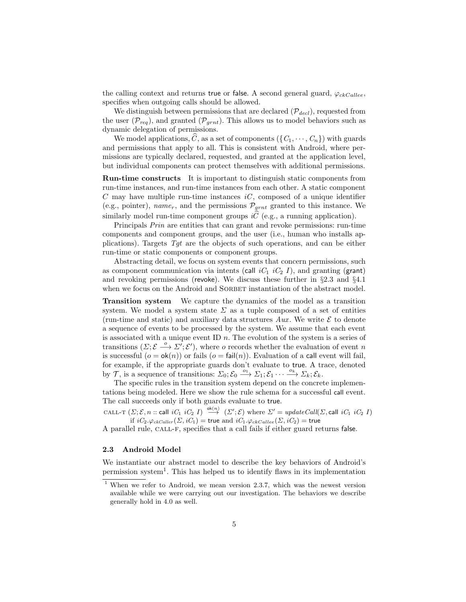the calling context and returns true or false. A second general guard,  $\varphi_{ckCallee}$ , specifies when outgoing calls should be allowed.

We distinguish between permissions that are declared  $(\mathcal{P}_{decl})$ , requested from the user  $(\mathcal{P}_{req})$ , and granted  $(\mathcal{P}_{grnt})$ . This allows us to model behaviors such as dynamic delegation of permissions.

We model applications,  $\widehat{C}$ , as a set of components  $({C_1, \dots, C_n})$  with guards and permissions that apply to all. This is consistent with Android, where permissions are typically declared, requested, and granted at the application level, but individual components can protect themselves with additional permissions.

Run-time constructs It is important to distinguish static components from run-time instances, and run-time instances from each other. A static component  $C$  may have multiple run-time instances  $iC$ , composed of a unique identifier (e.g., pointer), name<sub>r</sub>, and the permissions  $\mathcal{P}_{grnt}$  granted to this instance. We similarly model run-time component groups  $i\hat{C}$  (e.g., a running application).

Principals Prin are entities that can grant and revoke permissions: run-time components and component groups, and the user (i.e., human who installs applications). Targets  $Tqt$  are the objects of such operations, and can be either run-time or static components or component groups.

Abstracting detail, we focus on system events that concern permissions, such as component communication via intents (call  $iC_1$   $iC_2$  I), and granting (grant) and revoking permissions (revoke). We discuss these further in §2.3 and §4.1 when we focus on the Android and SORBET instantiation of the abstract model.

Transition system We capture the dynamics of the model as a transition system. We model a system state  $\Sigma$  as a tuple composed of a set of entities (run-time and static) and auxiliary data structures  $Aux$ . We write  $\mathcal E$  to denote a sequence of events to be processed by the system. We assume that each event is associated with a unique event ID  $n$ . The evolution of the system is a series of transitions  $(\Sigma; \mathcal{E} \stackrel{o}{\longrightarrow} \Sigma'; \mathcal{E}')$ , where *o* records whether the evaluation of event *n* is successful  $(o = \mathsf{ok}(n))$  or fails  $(o = \mathsf{fail}(n))$ . Evaluation of a call event will fail, for example, if the appropriate guards don't evaluate to true. A trace, denoted by T, is a sequence of transitions:  $\Sigma_0: \mathcal{E}_0 \xrightarrow{o_1} \Sigma_1: \mathcal{E}_1 \cdots \xrightarrow{o_k} \Sigma_k: \mathcal{E}_k$ .

The specific rules in the transition system depend on the concrete implementations being modeled. Here we show the rule schema for a successful call event. The call succeeds only if both guards evaluate to true.

CALL-T  $(\Sigma; \mathcal{E}, n :: \mathsf{call} \; iC_1 \; iC_2 \; I) \stackrel{\mathsf{ok}(n)}{\longrightarrow} (\Sigma'; \mathcal{E})$  where  $\Sigma' = \mathit{updateCall}(\Sigma, \mathsf{call} \; iC_1 \; iC_2 \; I)$ if  $iC_2.\varphi_{ckCaller}(\Sigma, iC_1)$  = true and  $iC_1.\varphi_{ckCallee}(\Sigma, iC_2)$  = true

A parallel rule, CALL-F, specifies that a call fails if either guard returns false.

#### 2.3 Android Model

We instantiate our abstract model to describe the key behaviors of Android's permission system<sup>1</sup> . This has helped us to identify flaws in its implementation

<sup>&</sup>lt;sup>1</sup> When we refer to Android, we mean version 2.3.7, which was the newest version available while we were carrying out our investigation. The behaviors we describe generally hold in 4.0 as well.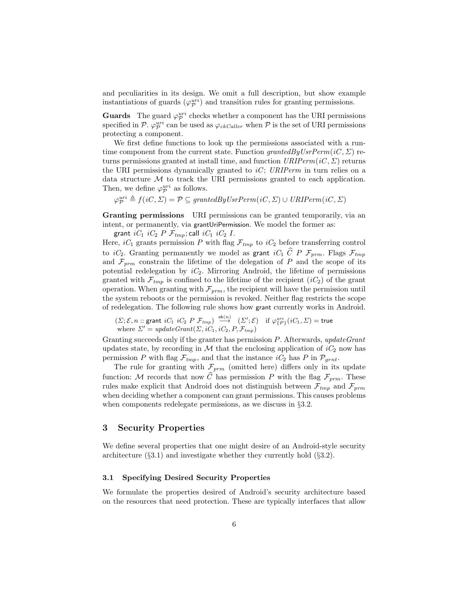and peculiarities in its design. We omit a full description, but show example instantiations of guards  $(\varphi_p^{uri})$  and transition rules for granting permissions.

**Guards** The guard  $\varphi_p^{uri}$  checks whether a component has the URI permissions specified in  $\mathcal{P} \cdot \varphi_{\mathcal{P}}^{uri}$  can be used as  $\varphi_{ckCaller}$  when  $\mathcal{P}$  is the set of URI permissions protecting a component.

We first define functions to look up the permissions associated with a runtime component from the current state. Function grantedByUsrPerm(iC,  $\Sigma$ ) returns permissions granted at install time, and function  $URIPerm(iC, \Sigma)$  returns the URI permissions dynamically granted to  $iC$ ; URIPerm in turn relies on a data structure  $M$  to track the URI permissions granted to each application. Then, we define  $\varphi_{\mathcal{P}}^{uri}$  as follows.

 $\varphi_{\mathcal{P}}^{uri} \triangleq f(iC, \Sigma) = \mathcal{P} \subseteq grantedByUsrPerm(iC, \Sigma) \cup URIPerm(iC, \Sigma)$ 

Granting permissions URI permissions can be granted temporarily, via an intent, or permanently, via grantUriPermission. We model the former as:

grant  $iC_1$   $iC_2$   $P$   $\mathcal{F}_{tmp}$ ; call  $iC_1$   $iC_2$   $I$ .

Here,  $iC_1$  grants permission P with flag  $\mathcal{F}_{tmp}$  to  $iC_2$  before transferring control to iC<sub>2</sub>. Granting permanently we model as grant iC<sub>1</sub>  $\hat{C}$  P  $\mathcal{F}_{prm}$ . Flags  $\mathcal{F}_{tmp}$ and  $\mathcal{F}_{prm}$  constrain the lifetime of the delegation of P and the scope of its potential redelegation by  $iC_2$ . Mirroring Android, the lifetime of permissions granted with  $\mathcal{F}_{tmp}$  is confined to the lifetime of the recipient  $(iC_2)$  of the grant operation. When granting with  $\mathcal{F}_{prm}$ , the recipient will have the permission until the system reboots or the permission is revoked. Neither flag restricts the scope of redelegation. The following rule shows how grant currently works in Android.

 $(\varSigma; \mathcal{E}, n:: \text{grant } iC_1 \,\, iC_2 \,\, P \,\, \mathcal{F}_{tmp}) \;\stackrel{\mathsf{ok}(n)}{\longrightarrow} \;\; (\varSigma'; \mathcal{E}) \quad \text{if} \; \varphi^{uri}_{\{P\}}(iC_1, \varSigma) = \textsf{true}$ where  $\Sigma' = updateGrant(\Sigma, iC_1, iC_2, P, \mathcal{F}_{tmp})$ 

Granting succeeds only if the granter has permission P. Afterwards, updateGrant updates state, by recording in M that the enclosing application of  $iC_2$  now has permission P with flag  $\mathcal{F}_{tmp}$ , and that the instance  $iC_2$  has P in  $\mathcal{P}_{grnt}$ .

The rule for granting with  $\mathcal{F}_{prm}$  (omitted here) differs only in its update function: M records that now  $\widehat{C}$  has permission P with the flag  $\mathcal{F}_{prm}$ . These rules make explicit that Android does not distinguish between  $\mathcal{F}_{tmp}$  and  $\mathcal{F}_{prm}$ when deciding whether a component can grant permissions. This causes problems when components redelegate permissions, as we discuss in §3.2.

## 3 Security Properties

We define several properties that one might desire of an Android-style security architecture  $(\S 3.1)$  and investigate whether they currently hold  $(\S 3.2)$ .

#### 3.1 Specifying Desired Security Properties

We formulate the properties desired of Android's security architecture based on the resources that need protection. These are typically interfaces that allow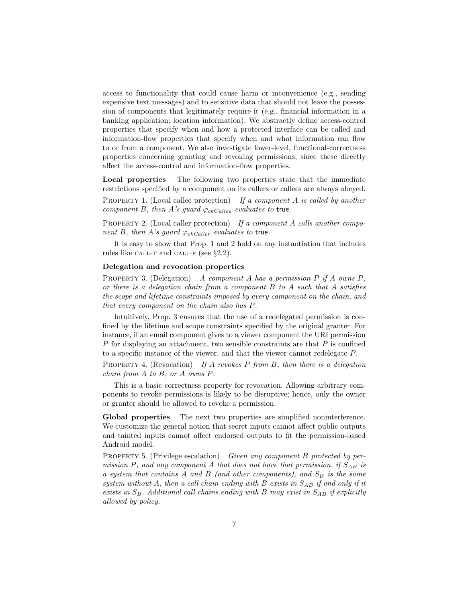access to functionality that could cause harm or inconvenience (e.g., sending expensive text messages) and to sensitive data that should not leave the possession of components that legitimately require it (e.g., financial information in a banking application; location information). We abstractly define access-control properties that specify when and how a protected interface can be called and information-flow properties that specify when and what information can flow to or from a component. We also investigate lower-level, functional-correctness properties concerning granting and revoking permissions, since these directly affect the access-control and information-flow properties.

Local properties The following two properties state that the immediate restrictions specified by a component on its callers or callees are always obeyed.

PROPERTY 1. (Local callee protection) If a component  $A$  is called by another component B, then A's guard  $\varphi_{ckCallee}$  evaluates to true.

PROPERTY 2. (Local caller protection) If a component A calls another component B, then A's guard  $\varphi_{ckCaller}$  evaluates to true.

It is easy to show that Prop. 1 and 2 hold on any instantiation that includes rules like CALL-T and CALL-F (see  $\S 2.2$ ).

#### Delegation and revocation properties

PROPERTY 3. (Delegation) A component A has a permission  $P$  if A owns  $P$ , or there is a delegation chain from a component  $B$  to  $A$  such that  $A$  satisfies the scope and lifetime constraints imposed by every component on the chain, and that every component on the chain also has P.

Intuitively, Prop. 3 ensures that the use of a redelegated permission is confined by the lifetime and scope constraints specified by the original granter. For instance, if an email component gives to a viewer component the URI permission  $P$  for displaying an attachment, two sensible constraints are that  $P$  is confined to a specific instance of the viewer, and that the viewer cannot redelegate P.

PROPERTY 4. (Revocation) If A revokes P from B, then there is a delegation chain from A to B, or A owns P.

This is a basic correctness property for revocation. Allowing arbitrary components to revoke permissions is likely to be disruptive; hence, only the owner or granter should be allowed to revoke a permission.

Global properties The next two properties are simplified noninterference. We customize the general notion that secret inputs cannot affect public outputs and tainted inputs cannot affect endorsed outputs to fit the permission-based Android model.

PROPERTY 5. (Privilege escalation) Given any component B protected by permission P, and any component A that does not have that permission, if  $S_{AB}$  is a system that contains A and B (and other components), and  $S_B$  is the same system without A, then a call chain ending with B exists in  $S_{AB}$  if and only if it exists in  $S_B$ . Additional call chains ending with B may exist in  $S_{AB}$  if explicitly allowed by policy.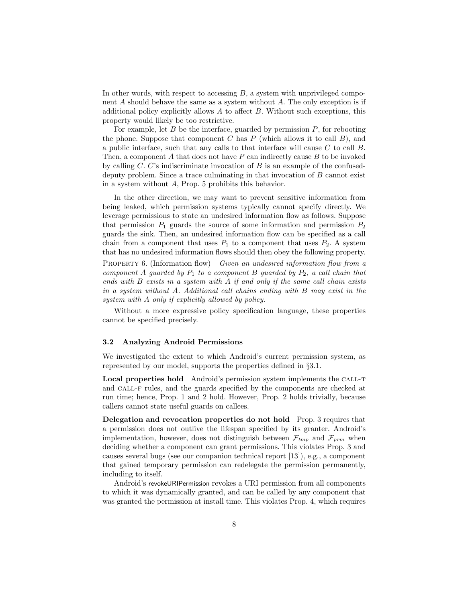In other words, with respect to accessing  $B$ , a system with unprivileged component A should behave the same as a system without A. The only exception is if additional policy explicitly allows  $A$  to affect  $B$ . Without such exceptions, this property would likely be too restrictive.

For example, let  $B$  be the interface, guarded by permission  $P$ , for rebooting the phone. Suppose that component  $C$  has  $P$  (which allows it to call  $B$ ), and a public interface, such that any calls to that interface will cause  $C$  to call  $B$ . Then, a component A that does not have  $P$  can indirectly cause  $B$  to be invoked by calling C. C's indiscriminate invocation of  $B$  is an example of the confuseddeputy problem. Since a trace culminating in that invocation of  $B$  cannot exist in a system without A, Prop. 5 prohibits this behavior.

In the other direction, we may want to prevent sensitive information from being leaked, which permission systems typically cannot specify directly. We leverage permissions to state an undesired information flow as follows. Suppose that permission  $P_1$  guards the source of some information and permission  $P_2$ guards the sink. Then, an undesired information flow can be specified as a call chain from a component that uses  $P_1$  to a component that uses  $P_2$ . A system that has no undesired information flows should then obey the following property. PROPERTY 6. (Information flow) Given an undesired information flow from a

component A guarded by  $P_1$  to a component B guarded by  $P_2$ , a call chain that ends with  $B$  exists in a system with  $A$  if and only if the same call chain exists in a system without A. Additional call chains ending with B may exist in the system with A only if explicitly allowed by policy.

Without a more expressive policy specification language, these properties cannot be specified precisely.

#### 3.2 Analyzing Android Permissions

We investigated the extent to which Android's current permission system, as represented by our model, supports the properties defined in §3.1.

Local properties hold Android's permission system implements the CALL-T and call-f rules, and the guards specified by the components are checked at run time; hence, Prop. 1 and 2 hold. However, Prop. 2 holds trivially, because callers cannot state useful guards on callees.

Delegation and revocation properties do not hold Prop. 3 requires that a permission does not outlive the lifespan specified by its granter. Android's implementation, however, does not distinguish between  $\mathcal{F}_{tmp}$  and  $\mathcal{F}_{prm}$  when deciding whether a component can grant permissions. This violates Prop. 3 and causes several bugs (see our companion technical report [13]), e.g., a component that gained temporary permission can redelegate the permission permanently, including to itself.

Android's revokeURIPermission revokes a URI permission from all components to which it was dynamically granted, and can be called by any component that was granted the permission at install time. This violates Prop. 4, which requires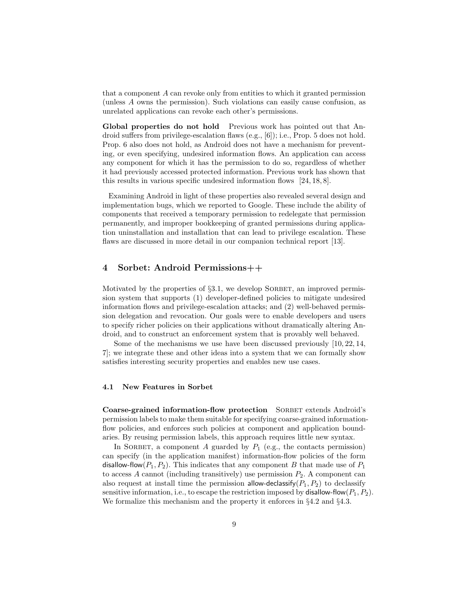that a component A can revoke only from entities to which it granted permission (unless A owns the permission). Such violations can easily cause confusion, as unrelated applications can revoke each other's permissions.

Global properties do not hold Previous work has pointed out that Android suffers from privilege-escalation flaws (e.g., [6]); i.e., Prop. 5 does not hold. Prop. 6 also does not hold, as Android does not have a mechanism for preventing, or even specifying, undesired information flows. An application can access any component for which it has the permission to do so, regardless of whether it had previously accessed protected information. Previous work has shown that this results in various specific undesired information flows [24, 18, 8].

Examining Android in light of these properties also revealed several design and implementation bugs, which we reported to Google. These include the ability of components that received a temporary permission to redelegate that permission permanently, and improper bookkeeping of granted permissions during application uninstallation and installation that can lead to privilege escalation. These flaws are discussed in more detail in our companion technical report [13].

### 4 Sorbet: Android Permissions++

Motivated by the properties of  $\S3.1$ , we develop SORBET, an improved permission system that supports (1) developer-defined policies to mitigate undesired information flows and privilege-escalation attacks; and (2) well-behaved permission delegation and revocation. Our goals were to enable developers and users to specify richer policies on their applications without dramatically altering Android, and to construct an enforcement system that is provably well behaved.

Some of the mechanisms we use have been discussed previously [10, 22, 14, 7]; we integrate these and other ideas into a system that we can formally show satisfies interesting security properties and enables new use cases.

#### 4.1 New Features in Sorbet

Coarse-grained information-flow protection SORBET extends Android's permission labels to make them suitable for specifying coarse-grained informationflow policies, and enforces such policies at component and application boundaries. By reusing permission labels, this approach requires little new syntax.

In SORBET, a component A guarded by  $P_1$  (e.g., the contacts permission) can specify (in the application manifest) information-flow policies of the form disallow-flow( $P_1, P_2$ ). This indicates that any component B that made use of  $P_1$ to access A cannot (including transitively) use permission  $P_2$ . A component can also request at install time the permission allow-declassify( $P_1, P_2$ ) to declassify sensitive information, i.e., to escape the restriction imposed by disallow-flow( $P_1, P_2$ ). We formalize this mechanism and the property it enforces in §4.2 and §4.3.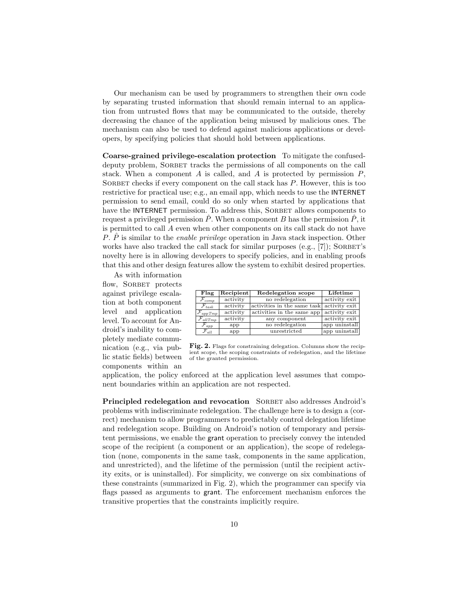Our mechanism can be used by programmers to strengthen their own code by separating trusted information that should remain internal to an application from untrusted flows that may be communicated to the outside, thereby decreasing the chance of the application being misused by malicious ones. The mechanism can also be used to defend against malicious applications or developers, by specifying policies that should hold between applications.

Coarse-grained privilege-escalation protection To mitigate the confuseddeputy problem, SORBET tracks the permissions of all components on the call stack. When a component A is called, and A is protected by permission  $P$ , SORBET checks if every component on the call stack has  $P$ . However, this is too restrictive for practical use; e.g., an email app, which needs to use the INTERNET permission to send email, could do so only when started by applications that have the INTERNET permission. To address this, SORBET allows components to request a privileged permission  $\hat{P}$ . When a component B has the permission  $\hat{P}$ , it is permitted to call A even when other components on its call stack do not have P.  $\hat{P}$  is similar to the *enable privilege* operation in Java stack inspection. Other works have also tracked the call stack for similar purposes  $(e.g., [7])$ ; SORBET's novelty here is in allowing developers to specify policies, and in enabling proofs that this and other design features allow the system to exhibit desired properties.

As with information flow, SORBET protects against privilege escalation at both component level and application level. To account for Android's inability to completely mediate communication (e.g., via public static fields) between components within an

| Flag                    | Recipient | <b>Redelegation</b> scope   | Lifetime      |  |  |
|-------------------------|-----------|-----------------------------|---------------|--|--|
| $\mathcal{F}_{comp}$    | activity  | no redelegation             | activity exit |  |  |
| $\mathcal{F}_{task}$    | activity  | activities in the same task | activity exit |  |  |
| $ {\cal F}_{app\,Tmp} $ | activity  | activities in the same app  | activity exit |  |  |
| $\mathcal{F}_{allTmp}$  | activity  | any component               | activity exit |  |  |
| $\mathcal{F}_{app}$     | app       | no redelegation             | app uninstall |  |  |
| $\mathcal{F}_{all}$     | app       | unrestricted                | app uninstall |  |  |

Fig. 2. Flags for constraining delegation. Columns show the recipient scope, the scoping constraints of redelegation, and the lifetime of the granted permission.

application, the policy enforced at the application level assumes that component boundaries within an application are not respected.

Principled redelegation and revocation SORBET also addresses Android's problems with indiscriminate redelegation. The challenge here is to design a (correct) mechanism to allow programmers to predictably control delegation lifetime and redelegation scope. Building on Android's notion of temporary and persistent permissions, we enable the grant operation to precisely convey the intended scope of the recipient (a component or an application), the scope of redelegation (none, components in the same task, components in the same application, and unrestricted), and the lifetime of the permission (until the recipient activity exits, or is uninstalled). For simplicity, we converge on six combinations of these constraints (summarized in Fig. 2), which the programmer can specify via flags passed as arguments to grant. The enforcement mechanism enforces the transitive properties that the constraints implicitly require.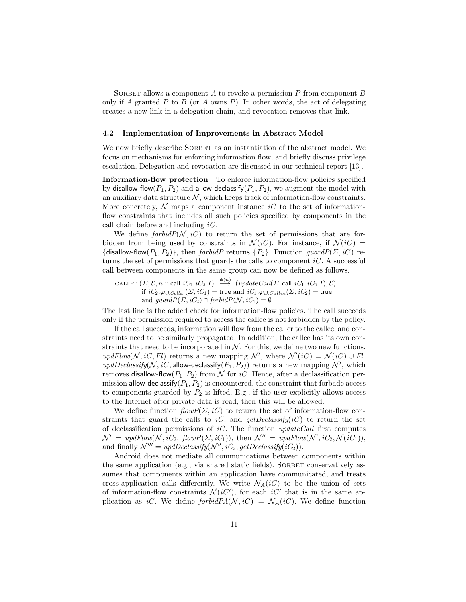SORBET allows a component  $A$  to revoke a permission  $P$  from component  $B$ only if A granted P to B (or A owns P). In other words, the act of delegating creates a new link in a delegation chain, and revocation removes that link.

#### 4.2 Implementation of Improvements in Abstract Model

We now briefly describe SORBET as an instantiation of the abstract model. We focus on mechanisms for enforcing information flow, and briefly discuss privilege escalation. Delegation and revocation are discussed in our technical report [13].

Information-flow protection To enforce information-flow policies specified by disallow-flow( $P_1, P_2$ ) and allow-declassify( $P_1, P_2$ ), we augment the model with an auxiliary data structure  $N$ , which keeps track of information-flow constraints. More concretely,  $\mathcal N$  maps a component instance iC to the set of informationflow constraints that includes all such policies specified by components in the call chain before and including  $iC$ .

We define  $forbidP(\mathcal{N}, iC)$  to return the set of permissions that are forbidden from being used by constraints in  $\mathcal{N}(iC)$ . For instance, if  $\mathcal{N}(iC)$  = {disallow-flow( $P_1, P_2$ }, then forbidP returns {P<sub>2</sub>}. Function guardP( $\Sigma$ , iC) returns the set of permissions that guards the calls to component  $iC$ . A successful call between components in the same group can now be defined as follows.

CALL-T  $(\Sigma; \mathcal{E}, n :: \mathsf{call} \; iC_1 \; iC_2 \; I) \stackrel{\mathsf{ok}(n)}{\longrightarrow} (updateCall(\Sigma, \mathsf{call} \; iC_1 \; iC_2 \; I); \mathcal{E})$ if  $iC_2.\varphi_{ckCaller}(\varSigma,iC_1) =$  true and  $iC_1.\varphi_{ckCallee}(\varSigma,iC_2) =$  true and  $guardP(\Sigma, iC_2) \cap forbidP(\mathcal{N}, iC_1) = \emptyset$ 

The last line is the added check for information-flow policies. The call succeeds only if the permission required to access the callee is not forbidden by the policy.

If the call succeeds, information will flow from the caller to the callee, and constraints need to be similarly propagated. In addition, the callee has its own constraints that need to be incorporated in  $N$ . For this, we define two new functions. updFlow(N, iC, Fl) returns a new mapping N', where  $\mathcal{N}'(iC) = \mathcal{N}(iC) \cup Fl$ .  $updDeclassify(N, iC, \text{allow-declassify}(P_1, P_2))$  returns a new mapping  $\mathcal{N}'$ , which removes disallow-flow $(P_1, P_2)$  from N for iC. Hence, after a declassification permission allow-declassify $(P_1, P_2)$  is encountered, the constraint that forbade access to components guarded by  $P_2$  is lifted. E.g., if the user explicitly allows access to the Internet after private data is read, then this will be allowed.

We define function  $flowP(\Sigma, iC)$  to return the set of information-flow constraints that guard the calls to iC, and getDeclassify(iC) to return the set of declassification permissions of  $iC$ . The function updateCall first computes  $\mathcal{N}' = \text{updFlow}(\mathcal{N}, iC_2, \text{flowP}(\Sigma, iC_1)),$  then  $\mathcal{N}'' = \text{updFlow}(\mathcal{N}', iC_2, \mathcal{N}(iC_1)),$ and finally  $\mathcal{N}''' = updDeclassify(\mathcal{N}'', iC_2, getDe classify(iC_2)).$ 

Android does not mediate all communications between components within the same application (e.g., via shared static fields). SORBET conservatively assumes that components within an application have communicated, and treats cross-application calls differently. We write  $\mathcal{N}_A(iC)$  to be the union of sets of information-flow constraints  $\mathcal{N}(iC')$ , for each  $iC'$  that is in the same application as iC. We define forbid $PA(\mathcal{N}, iC) = \mathcal{N}_A(iC)$ . We define function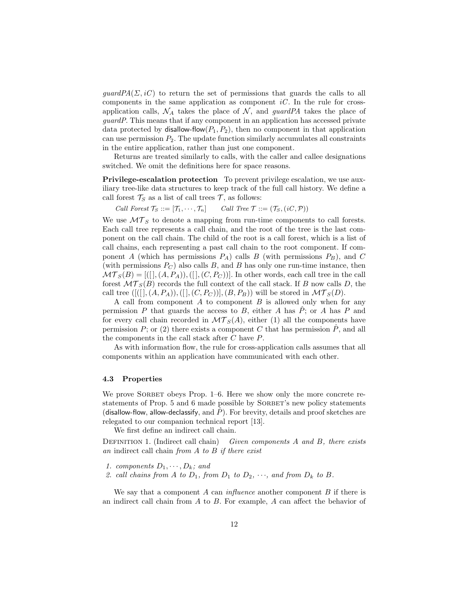$guardPA(\Sigma, iC)$  to return the set of permissions that guards the calls to all components in the same application as component  $iC$ . In the rule for crossapplication calls,  $\mathcal{N}_A$  takes the place of  $\mathcal{N}$ , and *guardPA* takes the place of guardP. This means that if any component in an application has accessed private data protected by disallow-flow $(P_1, P_2)$ , then no component in that application can use permission  $P_2$ . The update function similarly accumulates all constraints in the entire application, rather than just one component.

Returns are treated similarly to calls, with the caller and callee designations switched. We omit the definitions here for space reasons.

Privilege-escalation protection To prevent privilege escalation, we use auxiliary tree-like data structures to keep track of the full call history. We define a call forest  $\mathcal{T}_S$  as a list of call trees  $\mathcal{T}$ , as follows:

Call Forest  $\mathcal{T}_S ::= [\mathcal{T}_1, \cdots, \mathcal{T}_n]$  Call Tree  $\mathcal{T} ::= (\mathcal{T}_S, (iC, \mathcal{P}))$ 

We use  $\mathcal{MT}_S$  to denote a mapping from run-time components to call forests. Each call tree represents a call chain, and the root of the tree is the last component on the call chain. The child of the root is a call forest, which is a list of call chains, each representing a past call chain to the root component. If component A (which has permissions  $P_A$ ) calls B (with permissions  $P_B$ ), and C (with permissions  $P_C$ ) also calls B, and B has only one run-time instance, then  $\mathcal{MT}_S(B) = [([], (A, P_A)), ([], (C, P_C))]$ . In other words, each call tree in the call forest  $\mathcal{MT}_{S}(B)$  records the full context of the call stack. If B now calls D, the call tree  $([[[], (A, P_A)), [[], (C, P_C)]], (B, P_B))$  will be stored in  $\mathcal{MT}_S(D)$ .

A call from component  $A$  to component  $B$  is allowed only when for any permission P that guards the access to B, either A has  $\hat{P}$ ; or A has P and for every call chain recorded in  $\mathcal{MT}_S(A)$ , either (1) all the components have permission  $P$ ; or (2) there exists a component C that has permission  $\tilde{P}$ , and all the components in the call stack after C have P.

As with information flow, the rule for cross-application calls assumes that all components within an application have communicated with each other.

#### 4.3 Properties

We prove SORBET obeys Prop. 1–6. Here we show only the more concrete restatements of Prop. 5 and 6 made possible by SORBET's new policy statements (disallow-flow, allow-declassify, and  $\ddot{P}$ ). For brevity, details and proof sketches are relegated to our companion technical report [13].

We first define an indirect call chain.

DEFINITION 1. (Indirect call chain) Given components  $A$  and  $B$ , there exists an indirect call chain from  $A$  to  $B$  if there exist

- 1. components  $D_1, \cdots, D_k$ ; and
- 2. call chains from A to  $D_1$ , from  $D_1$  to  $D_2$ ,  $\cdots$ , and from  $D_k$  to B.

We say that a component  $A$  can *influence* another component  $B$  if there is an indirect call chain from  $A$  to  $B$ . For example,  $A$  can affect the behavior of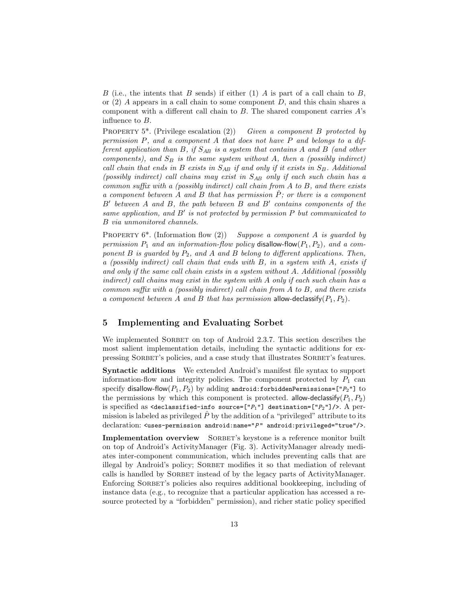B (i.e., the intents that B sends) if either (1) A is part of a call chain to B, or  $(2)$  A appears in a call chain to some component D, and this chain shares a component with a different call chain to  $B$ . The shared component carries  $A$ 's influence to B.

PROPERTY 5<sup>\*</sup>. (Privilege escalation (2)) Given a component B protected by permission P, and a component A that does not have P and belongs to a different application than B, if  $S_{AB}$  is a system that contains A and B (and other components), and  $S_B$  is the same system without A, then a (possibly indirect) call chain that ends in B exists in  $S_{AB}$  if and only if it exists in  $S_B$ . Additional (possibly indirect) call chains may exist in  $S_{AB}$  only if each such chain has a common suffix with a (possibly indirect) call chain from A to B, and there exists a component between A and B that has permission  $\hat{P}$ ; or there is a component  $B'$  between A and B, the path between B and B' contains components of the same application, and  $B'$  is not protected by permission  $P$  but communicated to B via unmonitored channels.

PROPERTY  $6^*$ . (Information flow (2)) Suppose a component A is guarded by permission  $P_1$  and an information-flow policy disallow-flow( $P_1, P_2$ ), and a component  $B$  is guarded by  $P_2$ , and  $A$  and  $B$  belong to different applications. Then, a (possibly indirect) call chain that ends with  $B$ , in a system with  $A$ , exists if and only if the same call chain exists in a system without A. Additional (possibly indirect) call chains may exist in the system with A only if each such chain has a common suffix with a (possibly indirect) call chain from  $A$  to  $B$ , and there exists a component between A and B that has permission allow-declassify $(P_1, P_2)$ .

### 5 Implementing and Evaluating Sorbet

We implemented SORBET on top of Android 2.3.7. This section describes the most salient implementation details, including the syntactic additions for expressing SORBET's policies, and a case study that illustrates SORBET's features.

Syntactic additions We extended Android's manifest file syntax to support information-flow and integrity policies. The component protected by  $P_1$  can specify disallow-flow( $P_1, P_2$ ) by adding android:forbiddenPermissions=[" $P_2$ "] to the permissions by which this component is protected. allow-declassify( $P_1, P_2$ ) is specified as <declassified-info source= $["P_1"]$  destination= $["P_2"]$ />. A permission is labeled as privileged  $\ddot{P}$  by the addition of a "privileged" attribute to its declaration:  $\langle$ uses-permission android:name=" $P$ " android:privileged="true"/>.

Implementation overview SORBET's keystone is a reference monitor built on top of Android's ActivityManager (Fig. 3). ActivityManager already mediates inter-component communication, which includes preventing calls that are illegal by Android's policy; SORBET modifies it so that mediation of relevant calls is handled by SORBET instead of by the legacy parts of ActivityManager. Enforcing SORBET's policies also requires additional bookkeeping, including of instance data (e.g., to recognize that a particular application has accessed a resource protected by a "forbidden" permission), and richer static policy specified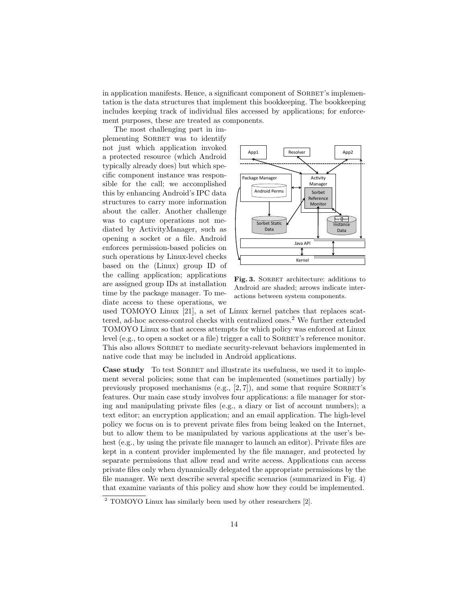in application manifests. Hence, a significant component of SORBET's implementation is the data structures that implement this bookkeeping. The bookkeeping includes keeping track of individual files accessed by applications; for enforcement purposes, these are treated as components.

The most challenging part in implementing SORBET was to identify not just which application invoked a protected resource (which Android typically already does) but which specific component instance was responsible for the call; we accomplished this by enhancing Android's IPC data structures to carry more information about the caller. Another challenge was to capture operations not mediated by ActivityManager, such as opening a socket or a file. Android enforces permission-based policies on such operations by Linux-level checks based on the (Linux) group ID of the calling application; applications are assigned group IDs at installation time by the package manager. To mediate access to these operations, we



Fig. 3. SORBET architecture: additions to Android are shaded; arrows indicate interactions between system components.

used TOMOYO Linux [21], a set of Linux kernel patches that replaces scattered, ad-hoc access-control checks with centralized ones.<sup>2</sup> We further extended TOMOYO Linux so that access attempts for which policy was enforced at Linux level (e.g., to open a socket or a file) trigger a call to SORBET's reference monitor. This also allows SORBET to mediate security-relevant behaviors implemented in native code that may be included in Android applications.

Case study To test SORBET and illustrate its usefulness, we used it to implement several policies; some that can be implemented (sometimes partially) by previously proposed mechanisms (e.g.,  $[2, 7]$ ), and some that require SORBET's features. Our main case study involves four applications: a file manager for storing and manipulating private files (e.g., a diary or list of account numbers); a text editor; an encryption application; and an email application. The high-level policy we focus on is to prevent private files from being leaked on the Internet, but to allow them to be manipulated by various applications at the user's behest (e.g., by using the private file manager to launch an editor). Private files are kept in a content provider implemented by the file manager, and protected by separate permissions that allow read and write access. Applications can access private files only when dynamically delegated the appropriate permissions by the file manager. We next describe several specific scenarios (summarized in Fig. 4) that examine variants of this policy and show how they could be implemented.

 $\overline{2}$  TOMOYO Linux has similarly been used by other researchers [2].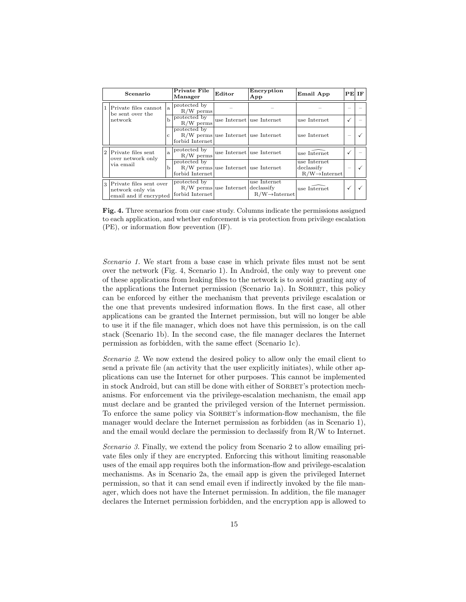| Scenario |                                                                                         |              | Private File<br>Manager         | Editor                                | Encryption<br>App                          | Email App                                                | $PE$ IF |  |
|----------|-----------------------------------------------------------------------------------------|--------------|---------------------------------|---------------------------------------|--------------------------------------------|----------------------------------------------------------|---------|--|
|          | Private files cannot<br>be sent over the<br>network                                     | la.          | protected by<br>$R/W$ perms     |                                       |                                            |                                                          |         |  |
|          |                                                                                         | Ь            | protected by<br>$R/W$ perms     |                                       | use Internet use Internet                  | use Internet                                             |         |  |
|          |                                                                                         | с            | protected by<br>forbid Internet | $R/W$ perms use Internet use Internet |                                            | use Internet                                             |         |  |
| 2        | Private files sent<br>over network only<br>via email                                    | $\mathbf{a}$ | protected by<br>$R/W$ perms     |                                       | use Internet use Internet                  | use Internet                                             |         |  |
|          |                                                                                         | b            | protected by<br>forbid Internet | $R/W$ perms use Internet use Internet |                                            | use Internet<br>declassify<br>$R/W \rightarrow$ Internet |         |  |
|          | Private files sent over<br>$\overline{3}$<br>network only via<br>email and if encrypted |              | protected by<br>forbid Internet | $R/W$ perms use Internet declassify   | use Internet<br>$R/W \rightarrow$ Internet | use Internet                                             |         |  |

Fig. 4. Three scenarios from our case study. Columns indicate the permissions assigned to each application, and whether enforcement is via protection from privilege escalation (PE), or information flow prevention (IF).

Scenario 1. We start from a base case in which private files must not be sent over the network (Fig. 4, Scenario 1). In Android, the only way to prevent one of these applications from leaking files to the network is to avoid granting any of the applications the Internet permission (Scenario 1a). In SORBET, this policy can be enforced by either the mechanism that prevents privilege escalation or the one that prevents undesired information flows. In the first case, all other applications can be granted the Internet permission, but will no longer be able to use it if the file manager, which does not have this permission, is on the call stack (Scenario 1b). In the second case, the file manager declares the Internet permission as forbidden, with the same effect (Scenario 1c).

Scenario 2. We now extend the desired policy to allow only the email client to send a private file (an activity that the user explicitly initiates), while other applications can use the Internet for other purposes. This cannot be implemented in stock Android, but can still be done with either of SORBET's protection mechanisms. For enforcement via the privilege-escalation mechanism, the email app must declare and be granted the privileged version of the Internet permission. To enforce the same policy via SORBET's information-flow mechanism, the file manager would declare the Internet permission as forbidden (as in Scenario 1), and the email would declare the permission to declassify from  $R/W$  to Internet.

Scenario 3. Finally, we extend the policy from Scenario 2 to allow emailing private files only if they are encrypted. Enforcing this without limiting reasonable uses of the email app requires both the information-flow and privilege-escalation mechanisms. As in Scenario 2a, the email app is given the privileged Internet permission, so that it can send email even if indirectly invoked by the file manager, which does not have the Internet permission. In addition, the file manager declares the Internet permission forbidden, and the encryption app is allowed to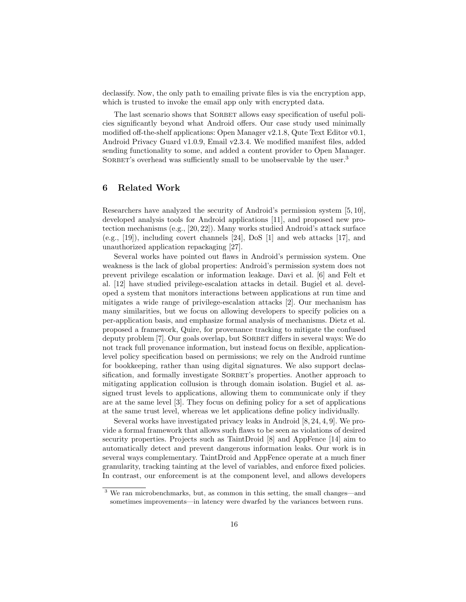declassify. Now, the only path to emailing private files is via the encryption app, which is trusted to invoke the email app only with encrypted data.

The last scenario shows that SORBET allows easy specification of useful policies significantly beyond what Android offers. Our case study used minimally modified off-the-shelf applications: Open Manager v2.1.8, Qute Text Editor v0.1, Android Privacy Guard v1.0.9, Email v2.3.4. We modified manifest files, added sending functionality to some, and added a content provider to Open Manager. SORBET's overhead was sufficiently small to be unobservable by the user.<sup>3</sup>

# 6 Related Work

Researchers have analyzed the security of Android's permission system [5, 10], developed analysis tools for Android applications [11], and proposed new protection mechanisms (e.g., [20, 22]). Many works studied Android's attack surface (e.g., [19]), including covert channels [24], DoS [1] and web attacks [17], and unauthorized application repackaging [27].

Several works have pointed out flaws in Android's permission system. One weakness is the lack of global properties: Android's permission system does not prevent privilege escalation or information leakage. Davi et al. [6] and Felt et al. [12] have studied privilege-escalation attacks in detail. Bugiel et al. developed a system that monitors interactions between applications at run time and mitigates a wide range of privilege-escalation attacks [2]. Our mechanism has many similarities, but we focus on allowing developers to specify policies on a per-application basis, and emphasize formal analysis of mechanisms. Dietz et al. proposed a framework, Quire, for provenance tracking to mitigate the confused deputy problem [7]. Our goals overlap, but SORBET differs in several ways: We do not track full provenance information, but instead focus on flexible, applicationlevel policy specification based on permissions; we rely on the Android runtime for bookkeeping, rather than using digital signatures. We also support declassification, and formally investigate SORBET's properties. Another approach to mitigating application collusion is through domain isolation. Bugiel et al. assigned trust levels to applications, allowing them to communicate only if they are at the same level [3]. They focus on defining policy for a set of applications at the same trust level, whereas we let applications define policy individually.

Several works have investigated privacy leaks in Android [8, 24, 4, 9]. We provide a formal framework that allows such flaws to be seen as violations of desired security properties. Projects such as TaintDroid [8] and AppFence [14] aim to automatically detect and prevent dangerous information leaks. Our work is in several ways complementary. TaintDroid and AppFence operate at a much finer granularity, tracking tainting at the level of variables, and enforce fixed policies. In contrast, our enforcement is at the component level, and allows developers

<sup>3</sup> We ran microbenchmarks, but, as common in this setting, the small changes—and sometimes improvements—in latency were dwarfed by the variances between runs.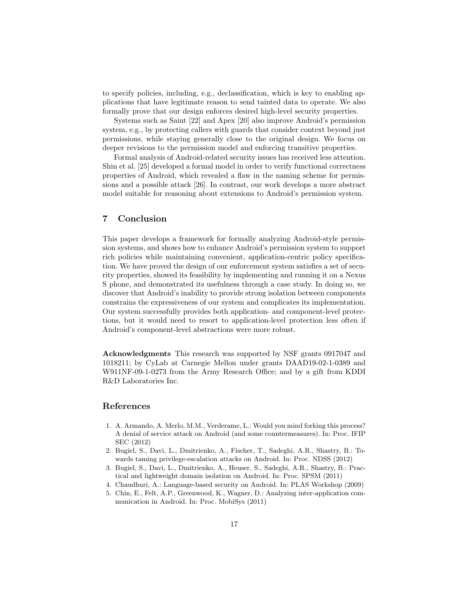to specify policies, including, e.g., declassification, which is key to enabling applications that have legitimate reason to send tainted data to operate. We also formally prove that our design enforces desired high-level security properties.

Systems such as Saint [22] and Apex [20] also improve Android's permission system, e.g., by protecting callers with guards that consider context beyond just permissions, while staying generally close to the original design. We focus on deeper revisions to the permission model and enforcing transitive properties.

Formal analysis of Android-related security issues has received less attention. Shin et al. [25] developed a formal model in order to verify functional correctness properties of Android, which revealed a flaw in the naming scheme for permissions and a possible attack [26]. In contrast, our work develops a more abstract model suitable for reasoning about extensions to Android's permission system.

# 7 Conclusion

This paper develops a framework for formally analyzing Android-style permission systems, and shows how to enhance Android's permission system to support rich policies while maintaining convenient, application-centric policy specification. We have proved the design of our enforcement system satisfies a set of security properties, showed its feasibility by implementing and running it on a Nexus S phone, and demonstrated its usefulness through a case study. In doing so, we discover that Android's inability to provide strong isolation between components constrains the expressiveness of our system and complicates its implementation. Our system successfully provides both application- and component-level protections, but it would need to resort to application-level protection less often if Android's component-level abstractions were more robust.

Acknowledgments This research was supported by NSF grants 0917047 and 1018211; by CyLab at Carnegie Mellon under grants DAAD19-02-1-0389 and W911NF-09-1-0273 from the Army Research Office; and by a gift from KDDI R&D Laboratories Inc.

### References

- 1. A. Armando, A. Merlo, M.M., Verderame, L.: Would you mind forking this process? A denial of service attack on Android (and some countermeasures). In: Proc. IFIP SEC (2012)
- 2. Bugiel, S., Davi, L., Dmitrienko, A., Fischer, T., Sadeghi, A.R., Shastry, B.: Towards taming privilege-escalation attacks on Android. In: Proc. NDSS (2012)
- 3. Bugiel, S., Davi, L., Dmitrienko, A., Heuser, S., Sadeghi, A.R., Shastry, B.: Practical and lightweight domain isolation on Android. In: Proc. SPSM (2011)
- 4. Chaudhuri, A.: Language-based security on Android. In: PLAS Workshop (2009)
- 5. Chin, E., Felt, A.P., Greenwood, K., Wagner, D.: Analyzing inter-application communication in Android. In: Proc. MobiSys (2011)